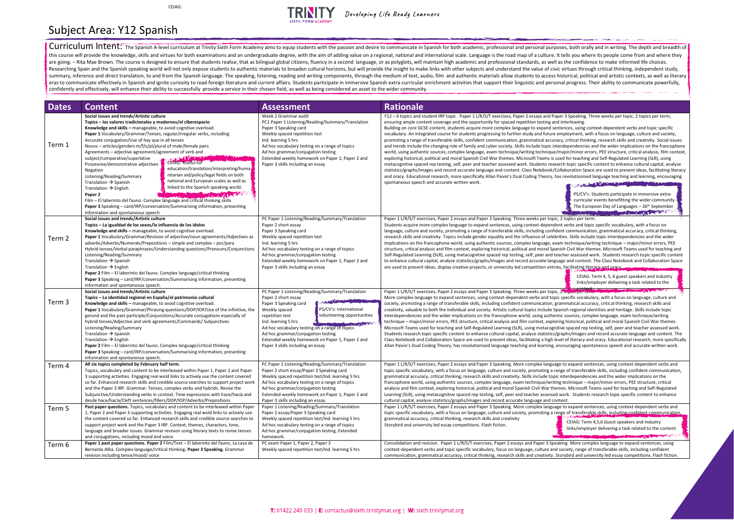PS/CV's: Students participate in immersive extracurricular events benefitting the wider community. The European Day of Languages - 26<sup>th</sup> September

ent verbs and topic specific vocabulary, with a focus on dent communication, grammatical accuracy, critical thinking, orities. Skills include topic interdependencies and the wider kam technique/writing technique – major/minor errors, PEE anish Civil War themes. Microsoft Teams used for teaching and eacher assessed work. Students research topic specific content uage and content. The Class Notebook and Collaboration Space ies, facilitating literacy and oracy

| <b>Dates</b> | <b>Content</b>                                                                                                                                                                                                                                                                                                                                                                                                                                                                                                                                                                                                                                                                                                                                                                                                                                                                                                                                                                                                                                                                                     | <b>Assessment</b>                                                                                                                                                                                                                                                                                                                                                                                                                                                                                                                                         | <b>Rationale</b>                                                                                                                                                                                                                                                                                                                                                                                                                                                                                                                                                                                                                                                                                                                                                                                                                                                                                                                                                                                                                                                                                                                                                                                                                                                                                                                            |
|--------------|----------------------------------------------------------------------------------------------------------------------------------------------------------------------------------------------------------------------------------------------------------------------------------------------------------------------------------------------------------------------------------------------------------------------------------------------------------------------------------------------------------------------------------------------------------------------------------------------------------------------------------------------------------------------------------------------------------------------------------------------------------------------------------------------------------------------------------------------------------------------------------------------------------------------------------------------------------------------------------------------------------------------------------------------------------------------------------------------------|-----------------------------------------------------------------------------------------------------------------------------------------------------------------------------------------------------------------------------------------------------------------------------------------------------------------------------------------------------------------------------------------------------------------------------------------------------------------------------------------------------------------------------------------------------------|---------------------------------------------------------------------------------------------------------------------------------------------------------------------------------------------------------------------------------------------------------------------------------------------------------------------------------------------------------------------------------------------------------------------------------------------------------------------------------------------------------------------------------------------------------------------------------------------------------------------------------------------------------------------------------------------------------------------------------------------------------------------------------------------------------------------------------------------------------------------------------------------------------------------------------------------------------------------------------------------------------------------------------------------------------------------------------------------------------------------------------------------------------------------------------------------------------------------------------------------------------------------------------------------------------------------------------------------|
| Term 1       | Social issues and trends/Artistic culture<br>Topics – los valores tradicionales y modernos/el ciberespacio<br>Knowledge and skills - manageable, to avoid cognitive overload.<br>Paper 1 Vocabulary/Grammar/Tenses, regular/irregular verbs, including:<br>Accurate conjugation/Use of hay que in all tenses<br>Nouns – articles/genders m/f/s/pl/plural of male/female pairs<br>Agreements - adjective agreement/agreement of verb and<br>subject/comparative/superlative<br><b>THE R. P. LEWIS CO., LANSING MICH.</b><br>CEIAG: Useful for<br>Possessive/demonstrative adjectives<br>education/translation/interpreting/huma<br>Negation<br>nitarian aid/policy/legal fields on both<br>Listening/Reading/Summary<br>national and European scales as well as<br>Translation $\rightarrow$ Spanish<br>linked to the Spanish speaking world.<br>Translation $\rightarrow$ English<br>Paper 2<br>Film - El laberinto del fauno. Complex language and critical thinking skills<br>Paper 3 Speaking – card/IRP/conversation/Summarising information, presenting<br>information and spontaneous speech | Week 2 Grammar audit<br>PC1 Paper 1 Listening/Reading/Summary/Translation<br>Paper 3 Speaking card<br>Weekly spaced repetition test<br>Ind. learning 5 hrs<br>Ad hoc vocabulary testing on a range of topics<br>Ad hoc grammar/conjugation testing<br>Extended weekly homework on Paper 1, Paper 2 and<br>Paper 3 skills including an essay                                                                                                                                                                                                               | Y12 - 6 topics and student IRP topic. Paper 1 L/R/S/T exercises, Paper 2 essays and Paper 3 Speaking. Thr<br>ensuring ample content coverage and the opportunity for spaced repetition testing and interleaving.<br>Building on core GCSE content, students acquire more complex language to expand sentences, using cont<br>vocabulary. An integrated course for students progressing to further study and future employment, with<br>promoting a range of transferable skills, confident communication, grammatical accuracy, critical thinking<br>and trends include the changing role of family and cyber society. Skills include topic interdependencies are<br>world, using authentic sources, complex language, exam technique/writing technique/major/minor error<br>exploring historical, political and moral Spanish Civil War themes. Microsoft Teams is used for teaching ar<br>metacognitive spaced rep testing, self, peer and teacher assessed work. Students research topic specific of<br>statistics/graphs/images and record accurate language and content. Class Notebook/Collaboration Space<br>and oracy. Educational research, more specifically Allan Paivio's Dual Coding Theory, has revolutionised la<br>spontaneous speech and accurate written work.<br><b>SALE</b><br>PS/CV's: St<br>curricular e<br>The Europ |
| Term 2       | Social issues and trends/Artistic culture<br>Topics – La igualdad de los sexos/la influencia de los ídolos<br>Knowledge and skills - manageable, to avoid cognitive overload.<br>Paper 1 Vocabulary/Grammar/Revision of adjective/noun agreements/Adjectives as<br>adverbs/Adverbs/Numerals/Prepositions – simple and complex – por/para<br>Hybrid tenses/Verbal paraphrases/Understanding questions/Pronouns/Conjunctions<br>Listening/Reading/Summary<br>Translation $\rightarrow$ Spanish<br>Translation $\rightarrow$ English<br>Paper 2 Film - El laberinto del fauno. Complex language/critical thinking<br>Paper 3 Speaking - card/IRP/conversation/Summarising information, presenting<br>information and spontaneous speech.                                                                                                                                                                                                                                                                                                                                                              | PC Paper 1 Listening/Reading/Summary/Translation<br>Paper 2 short essay<br>Paper 3 Speaking card<br>Weekly spaced repetition test<br>Ind. learning 5 hrs<br>Ad hoc vocabulary testing on a range of topics<br>Ad hoc grammar/conjugation testing<br>Extended weekly homework on Paper 1, Paper 2 and<br>Paper 3 skills including an essay                                                                                                                                                                                                                 | Paper 1 L/R/S/T exercises, Paper 2 essays and Paper 3 Speaking. Three weeks per topic, 2 topics per term<br>Students acquire more complex language to expand sentences, using context-dependent verbs and topic<br>language, culture and society, promoting a range of transferable skills, including confident communication<br>research skills and creativity. Topics include gender equality and the influence of celebrities. Skills include<br>implications on the francophone world, using authentic sources, complex language, exam technique/writ<br>structure, critical analysis and film context, exploring historical, political and moral Spanish Civil War then<br>Self-Regulated Learning (SLR), using metacognitive spaced rep testing, self, peer and teacher assessed wo<br>to enhance cultural capital, analyse statistics/graphs/images and record accurate language and content. 1<br>are used to present ideas, display creative projects, or university led competition entries, facilitating litera<br>CEIAG: To<br>links/em                                                                                                                                                                                                                                                                                         |
| Term 3       | Social issues and trends/Artistic culture<br>Topics – La identidad regional en España/el patrimonio cultural<br>Knowledge and skills - manageable, to avoid cognitive overload.<br>Paper 1 Vocabulary/Grammar/Phrasing questions/DOP/IOP/Use of the infinitive, the<br>gerund and the past participle/Conjunctions/Accurate conjugations especially of<br>hybrid tenses/Adjective and verb agreements/Commands/Subjunctives<br>Listening/Reading/Summary<br>Translation $\rightarrow$ Spanish<br>Translation $\rightarrow$ English<br><b>Paper 2</b> Film – El laberinto del fauno. Complex language/critical thinking<br>Paper 3 Speaking - card/IRP/conversation/Summarising information, presenting<br>information and spontaneous speech.                                                                                                                                                                                                                                                                                                                                                      | PC Paper 1 Listening/Reading/Summary/Translation<br>Paper 2 short essay<br><b>The Manual Manual Advised Manual Advised Asia Advised Asia Advised Asia Advised Asia Advised Asia Advised Asia</b><br>Paper 3 Speaking card<br>PS/CV's: International<br>Weekly spaced<br>volunteering opportunities<br>repetition test<br>Ind. learning 5 hrs<br><b>DIRECTOR DE CARDO</b><br>Ad hoc vocabulary testing on a range of topics<br>Ad hoc grammar/conjugation testing<br>Extended weekly homework on Paper 1, Paper 2 and<br>Paper 3 skills including an essay | Paper 1 L/R/S/T exercises, Paper 2 essays and Paper 3 Speaking. Three weeks per topic, 2 topics per term<br>More complex language to expand sentences, using context-dependent verbs and topic specific vocabula<br>society, promoting a range of transferable skills, including confident communication, grammatical accurad<br>creativity, valuable to both the individual and society. Artistic cultural topics include Spanish regional ider<br>interdependencies and the wider implications on the francophone world, using authentic sources, comple<br>technique - major/minor errors, PEE structure, critical analysis and film context, exploring historical, polit<br>Microsoft Teams used for teaching and Self-Regulated Learning (SLR), using metacognitive spaced rep tes<br>Students research topic specific content to enhance cultural capital, analyse statistics/graphs/images and<br>Class Notebook and Collaboration Space are used to present ideas, facilitating a high level of literacy and<br>Allan Paivio's Dual Coding Theory, has revolutionised language teaching and learning, encouraging sponta                                                                                                                                                                                                            |
| Term 4       | All six topics completed by February half term.<br>Topics, vocabulary and content to be interleaved within Paper 1, Paper 2 and Paper<br>3 supporting activities. Engaging real wold links to actively use the content covered<br>so far. Enhanced research skills and credible source searches to support project work<br>and the Paper 3 IRP. Grammar: Tenses, complex verbs and hybrids. Revise the<br>Subjunctive/Understanding verbs in context. Time expressions with hace/hacía and<br>desde hace/hacía/Cleft sentences/fillers/DOP/IOP/Adverbs/Prepositions                                                                                                                                                                                                                                                                                                                                                                                                                                                                                                                                | PC Paper 1 Listening/Reading/Summary/Translation<br>Paper 2 short essay/Paper 3 Speaking card<br>Weekly spaced repetition test/Ind. learning 5 hrs<br>Ad hoc vocabulary testing on a range of topics<br>Ad hoc grammar/conjugation testing<br>Extended weekly homework on Paper 1, Paper 2 and<br>Paper 3 skills including an essay.                                                                                                                                                                                                                      | Paper 1 L/R/S/T exercises, Paper 2 essays and Paper 3 Speaking. More complex language to expand sente<br>topic specific vocabulary, with a focus on language, culture and society, promoting a range of transferable<br>grammatical accuracy, critical thinking, research skills and creativity. Skills include topic interdependencie<br>francophone world, using authentic sources, complex language, exam technique/writing technique - maj<br>analysis and film context, exploring historical, political and moral Spanish Civil War themes. Microsoft Tea<br>Learning (SLR), using metacognitive spaced rep testing, self, peer and teacher assessed work. Students re<br>cultural capital, analyse statistics/graphs/images and record accurate language and content.                                                                                                                                                                                                                                                                                                                                                                                                                                                                                                                                                                 |
| Term 5       | Past paper questions. Topics, vocabulary and content to be interleaved within Paper<br>1, Paper 2 and Paper 3 supporting activities. Engaging real wold links to actively use<br>the content covered so far. Enhanced research skills and credible source searches to<br>support project work and the Paper 3 IRP. Context, themes, characters, tone,<br>language and broader issues. Grammar revision using literary texts to revise tenses<br>and conjugations, including mood and voice.                                                                                                                                                                                                                                                                                                                                                                                                                                                                                                                                                                                                        | Paper 1 Listening/Reading/Summary/Translation<br>Paper 2 essay/Paper 3 Speaking card<br>Weekly spaced repetition test/Ind. learning 5 hrs<br>Ad hoc vocabulary testing on a range of topics<br>Ad hoc grammar/conjugation testing. Extended<br>homework.                                                                                                                                                                                                                                                                                                  | Paper 1 L/R/S/T exercises, Paper 2 essays and Paper 3 Speaking. More complex language to expand sente<br>topic specific vocabulary, with a focus on language, culture and society, promoting a range of transferable<br>grammatical accuracy, critical thinking, research skills and creativity<br>CEIAG: Term 4<br>Storybird and university led essay competitions. Flash fiction.<br>links/employe                                                                                                                                                                                                                                                                                                                                                                                                                                                                                                                                                                                                                                                                                                                                                                                                                                                                                                                                        |
| Term 6       | Paper 1 past paper questions. Paper 2 Film/Text - El laberinto del fauno, La casa de<br>Bernarda Alba. Complex language/critical thinking. Paper 3 Speaking. Grammar<br>revision including tense/mood/voice                                                                                                                                                                                                                                                                                                                                                                                                                                                                                                                                                                                                                                                                                                                                                                                                                                                                                        | PC exam Paper 1, Paper 2, Paper 3<br>Weekly spaced repetition test/Ind. learning 5 hrs                                                                                                                                                                                                                                                                                                                                                                                                                                                                    | Consolidation and revision. Paper 1 L/R/S/T exercises, Paper 2 essays and Paper 3 Speaking. More completed<br>context-dependent verbs and topic specific vocabulary, focus on language, culture and society, range of t<br>communication, grammatical accuracy, critical thinking, research skills and creativity. Storybird and unive                                                                                                                                                                                                                                                                                                                                                                                                                                                                                                                                                                                                                                                                                                                                                                                                                                                                                                                                                                                                      |

aper 3 Speaking. Three weeks per topic, 2 topics per term, nd interleaving

entences, using context-dependent verbs and topic specific employment, with a focus on language, culture and society, and function and study and function and society, cu racy, critical thinking, research skills and creativity. Social issues aterdependencies and the wider implications on the francophone Major/minor errors, PEE structure, critical analysis, film context, used for teaching and Self-Regulated Learning (SLR), using earch topic specific content to enhance cultural capital, analyse Collaboration Space are used to present ideas. facilitating literacy as revolutionised language teaching and learning, encouraging **Comment of Antique Comments** 

CEIAG: Term 4,5,6 Guest speakers and industry links/employer delivering a task related to the content  $\mathcal{L}$  . The set of  $\mathcal{L}$ 

Paking. More complex language to expand sentences, using d society, range of transferable skills, including confident Storybird and university led essay competitions. Flash fiction.

Curriculum Intent: The Spanish A-level curriculum at Trinity Sixth Form Academy aims to equip students with the passion and desire to communicate in Spanish for both academic, professional and personal purposes, both orall this course will provide the knowledge, skills and virtues for both examinations and an undergraduate degree, with the aim of adding value on a regional, national and international scale. Language is the road map of a cult are going. - Rita Mae Brown. The course is designed to ensure that students realise, that as bilingual global citizens, fluency in a second language, or as polyglots, will maintain high academic and professional standards, Researching Spain and the Spanish speaking world will not only expose students to authentic materials to broaden cultural horizons, but will provide the insight to make links with other subjects and understand the value of summary, inference and direct translation, to and from the Spanish language. The speaking, listening, reading and writing components, through the medium of text, audio, film and authentic materials allow students to access eras to communicate effectively in Spanish and ignite curiosity to read foreign literature and current affairs. Students participate in immersive Spanish extra-curricular enrichment activities that support their linguistic confidently and effectively, will enhance their ability to successfully provide a service in their chosen field, as well as being considered an asset to the wider community.

CEIAG:



Developing Life Ready Learners

## Subject Area: Y12 Spanish

CEIAG: Term 4, 5, 6 guest speakers and industry links/employer delivering a task related to the

content

ic specific vocabulary, with a focus on language, culture and grammatical accuracy, critical thinking, research skills and panish regional identities and heritage. Skills include topic ntic sources, complex language, exam technique/writing authors oring historical, political and moral Spanish Civil War themes. hitive spaced rep testing, self, peer and teacher assessed work. /graphs/images and record accurate language and content. The evel of literacy and oracy. Educational research, more specifically encouraging spontaneous speech and accurate written work.

age to expand sentences, using context-dependent verbs and ange of transferable skills, including confident communication, ic interdependencies and the wider implications on the interdependencies and the wider interdependencies and t ing technique – major/minor errors, PEE structure, critical emes. Microsoft Teams used for teaching and Self-Regulated d work. Students research topic specific content to enhance

age to expand sentences, using context-dependent verbs and ange of transferable skills, including confident communication